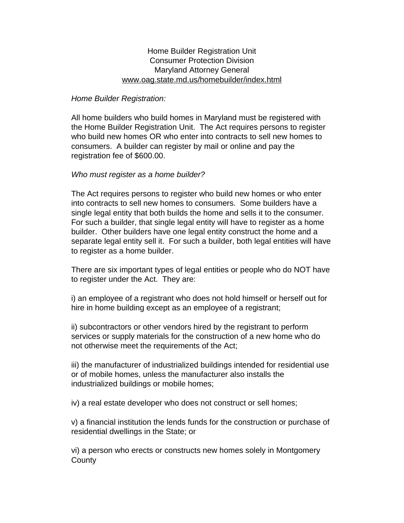# Home Builder Registration Unit Consumer Protection Division Maryland Attorney General [www.oag.state.md.us/homebuilder/index.html](http://www.oag.state.md.us/homebuilder/index.html)

### *Home Builder Registration:*

All home builders who build homes in Maryland must be registered with the Home Builder Registration Unit. The Act requires persons to register who build new homes OR who enter into contracts to sell new homes to consumers. A builder can register by mail or online and pay the registration fee of \$600.00.

### *Who must register as a home builder?*

The Act requires persons to register who build new homes or who enter into contracts to sell new homes to consumers. Some builders have a single legal entity that both builds the home and sells it to the consumer. For such a builder, that single legal entity will have to register as a home builder. Other builders have one legal entity construct the home and a separate legal entity sell it. For such a builder, both legal entities will have to register as a home builder.

There are six important types of legal entities or people who do NOT have to register under the Act. They are:

i) an employee of a registrant who does not hold himself or herself out for hire in home building except as an employee of a registrant;

ii) subcontractors or other vendors hired by the registrant to perform services or supply materials for the construction of a new home who do not otherwise meet the requirements of the Act;

iii) the manufacturer of industrialized buildings intended for residential use or of mobile homes, unless the manufacturer also installs the industrialized buildings or mobile homes;

iv) a real estate developer who does not construct or sell homes;

v) a financial institution the lends funds for the construction or purchase of residential dwellings in the State; or

vi) a person who erects or constructs new homes solely in Montgomery **County**